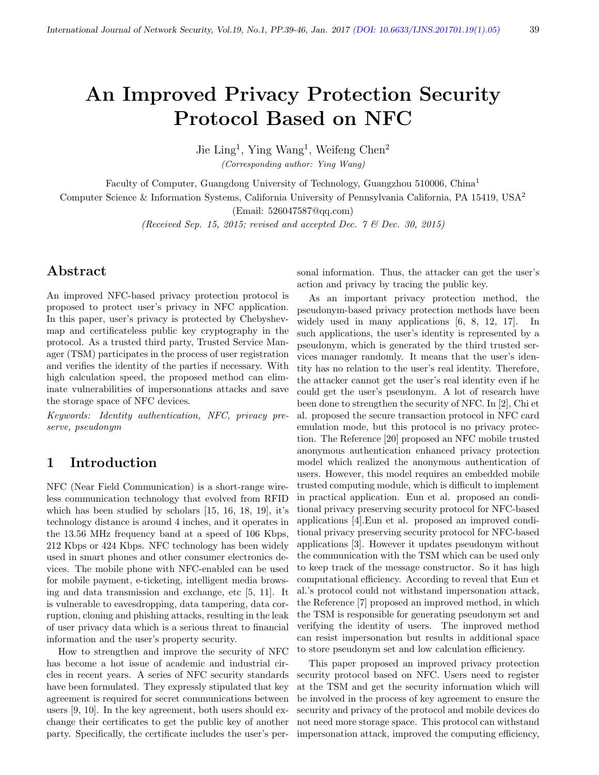# An Improved Privacy Protection Security Protocol Based on NFC

Jie Ling<sup>1</sup>, Ying Wang<sup>1</sup>, Weifeng Chen<sup>2</sup>

(Corresponding author: Ying Wang)

Faculty of Computer, Guangdong University of Technology, Guangzhou 510006, China<sup>1</sup>

Computer Science & Information Systems, California University of Pennsylvania California, PA 15419, USA<sup>2</sup>

(Email: 526047587@qq.com)

(Received Sep. 15, 2015; revised and accepted Dec.  $\gamma$  & Dec. 30, 2015)

# Abstract

An improved NFC-based privacy protection protocol is proposed to protect user's privacy in NFC application. In this paper, user's privacy is protected by Chebyshevmap and certificateless public key cryptography in the protocol. As a trusted third party, Trusted Service Manager (TSM) participates in the process of user registration and verifies the identity of the parties if necessary. With high calculation speed, the proposed method can eliminate vulnerabilities of impersonations attacks and save the storage space of NFC devices.

Keywords: Identity authentication, NFC, privacy preserve, pseudonym

## 1 Introduction

NFC (Near Field Communication) is a short-range wireless communication technology that evolved from RFID which has been studied by scholars [15, 16, 18, 19], it's technology distance is around 4 inches, and it operates in the 13.56 MHz frequency band at a speed of 106 Kbps, 212 Kbps or 424 Kbps. NFC technology has been widely used in smart phones and other consumer electronics devices. The mobile phone with NFC-enabled can be used for mobile payment, e-ticketing, intelligent media browsing and data transmission and exchange, etc [5, 11]. It is vulnerable to eavesdropping, data tampering, data corruption, cloning and phishing attacks, resulting in the leak of user privacy data which is a serious threat to financial information and the user's property security.

How to strengthen and improve the security of NFC has become a hot issue of academic and industrial circles in recent years. A series of NFC security standards have been formulated. They expressly stipulated that key agreement is required for secret communications between users [9, 10]. In the key agreement, both users should exchange their certificates to get the public key of another party. Specifically, the certificate includes the user's personal information. Thus, the attacker can get the user's action and privacy by tracing the public key.

As an important privacy protection method, the pseudonym-based privacy protection methods have been widely used in many applications [6, 8, 12, 17]. In such applications, the user's identity is represented by a pseudonym, which is generated by the third trusted services manager randomly. It means that the user's identity has no relation to the user's real identity. Therefore, the attacker cannot get the user's real identity even if he could get the user's pseudonym. A lot of research have been done to strengthen the security of NFC. In [2], Chi et al. proposed the secure transaction protocol in NFC card emulation mode, but this protocol is no privacy protection. The Reference [20] proposed an NFC mobile trusted anonymous authentication enhanced privacy protection model which realized the anonymous authentication of users. However, this model requires an embedded mobile trusted computing module, which is difficult to implement in practical application. Eun et al. proposed an conditional privacy preserving security protocol for NFC-based applications [4].Eun et al. proposed an improved conditional privacy preserving security protocol for NFC-based applications [3]. However it updates pseudonym without the communication with the TSM which can be used only to keep track of the message constructor. So it has high computational efficiency. According to reveal that Eun et al.'s protocol could not withstand impersonation attack, the Reference [7] proposed an improved method, in which the TSM is responsible for generating pseudonym set and verifying the identity of users. The improved method can resist impersonation but results in additional space to store pseudonym set and low calculation efficiency.

This paper proposed an improved privacy protection security protocol based on NFC. Users need to register at the TSM and get the security information which will be involved in the process of key agreement to ensure the security and privacy of the protocol and mobile devices do not need more storage space. This protocol can withstand impersonation attack, improved the computing efficiency,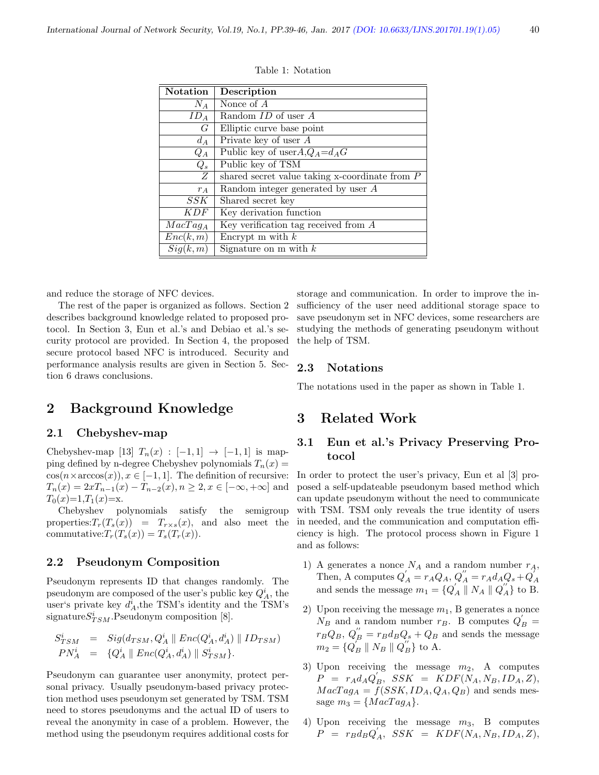| <b>Notation</b> | Description                                         |
|-----------------|-----------------------------------------------------|
| $N_A$           | Nonce of $A$                                        |
| $ID_A$          | Random ID of user A                                 |
| $G_{-}$         | Elliptic curve base point                           |
| $d_A$           | Private key of user $A$                             |
| $Q_A$           | Public key of user $A_1 Q_A = d_A G$                |
| $Q_s$           | Public key of TSM                                   |
| Z               | shared secret value taking $x$ -coordinate from $P$ |
| $r_A$           | Random integer generated by user $A$                |
| SSK             | Shared secret key                                   |
| K D F           | Key derivation function                             |
| $MacTag_A$      | Key verification tag received from $A$              |
| Enc(k, m)       | Encrypt m with $k$                                  |
| Sig(k, m)       | Signature on m with $k$                             |

Table 1: Notation

and reduce the storage of NFC devices.

The rest of the paper is organized as follows. Section 2 describes background knowledge related to proposed protocol. In Section 3, Eun et al.'s and Debiao et al.'s security protocol are provided. In Section 4, the proposed secure protocol based NFC is introduced. Security and performance analysis results are given in Section 5. Section 6 draws conclusions.

storage and communication. In order to improve the insufficiency of the user need additional storage space to save pseudonym set in NFC devices, some researchers are studying the methods of generating pseudonym without the help of TSM.

#### 2.3 Notations

The notations used in the paper as shown in Table 1.

# 2 Background Knowledge

#### 2.1 Chebyshev-map

Chebyshev-map [13]  $T_n(x) : [-1,1] \rightarrow [-1,1]$  is mapping defined by n-degree Chebyshev polynomials  $T_n(x) =$  $\cos(n \times \arccos(x)), x \in [-1, 1].$  The definition of recursive:  $T_n(x) = 2xT_{n-1}(x) - T_{n-2}(x), n \ge 2, x \in [-\infty, +\infty]$  and  $T_0(x)=1, T_1(x)=x.$ 

Chebyshev polynomials satisfy the semigroup properties:  $T_r(T_s(x)) = T_{r \times s}(x)$ , and also meet the commutative: $T_r(T_s(x)) = T_s(T_r(x))$ .

#### 2.2 Pseudonym Composition

Pseudonym represents ID that changes randomly. The pseudonym are composed of the user's public key  $Q_A^i$ , the user's private key  $d_A^i$ , the TSM's identity and the TSM's signature $S_{TSM}^i$ . Pseudonym composition [8].

$$
S_{TSM}^{i} = Sig(d_{TSM}, Q_{A}^{i} \parallel Enc(Q_{A}^{i}, d_{A}^{i}) \parallel ID_{TSM})
$$
  
\n
$$
PN_{A}^{i} = \{Q_{A}^{i} \parallel Enc(Q_{A}^{i}, d_{A}^{i}) \parallel S_{TSM}^{i}\}.
$$

Pseudonym can guarantee user anonymity, protect personal privacy. Usually pseudonym-based privacy protection method uses pseudonym set generated by TSM. TSM need to stores pseudonyms and the actual ID of users to reveal the anonymity in case of a problem. However, the method using the pseudonym requires additional costs for

### 3 Related Work

### 3.1 Eun et al.'s Privacy Preserving Protocol

In order to protect the user's privacy, Eun et al [3] proposed a self-updateable pseudonym based method which can update pseudonym without the need to communicate with TSM. TSM only reveals the true identity of users in needed, and the communication and computation efficiency is high. The protocol process shown in Figure 1 and as follows:

- 1) A generates a nonce  $N_A$  and a random number  $r_A$ , Then, A computes  $Q'_A = r_A Q_A$ ,  $Q''_A = r_A d_A Q_s + Q'_A$ <br>and sends the message  $m_1 = {Q'_A \parallel N_A \parallel Q''_A}$  to B.
- 2) Upon receiving the message  $m_1$ , B generates a nonce  $N_B$  and a random number  $r_B$ . B computes  $Q'_B$  =  $r_B Q_B$ ,  $Q_B^{\prime\prime} = r_B d_B Q_s + Q_B$  and sends the message  $m_2 = \{Q_B^{\prime} \parallel N_B \parallel Q_B^{\prime\prime}\}\)$  to A.
- 3) Upon receiving the message  $m_2$ , A computes  $\overrightarrow{P} = r_A d_A Q_B, \ \ \nonumber SSK \ = \ \overrightarrow{KDF}(N_A, N_B, ID_A, Z),$  $MacTag<sub>A</sub> = f(SSK, ID<sub>A</sub>, Q<sub>A</sub>, Q<sub>B</sub>)$  and sends message  $m_3 = \{MacTag_A\}.$
- 4) Upon receiving the message  $m_3$ , B computes  $\overrightarrow{P}$  =  $r_B d_B Q_A, \overrightarrow{SSK}$  =  $\overrightarrow{KDF}(N_A, N_B, ID_A, Z),$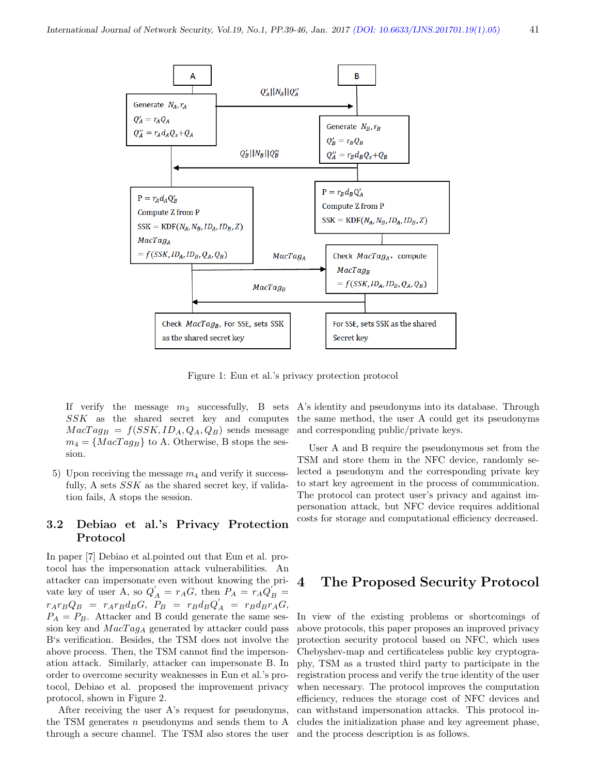

Figure 1: Eun et al.'s privacy protection protocol

If verify the message  $m_3$  successfully, B sets SSK as the shared secret key and computes  $MacTag_B = f(SSK, ID_A, Q_A, Q_B)$  sends message  $m_4 = \{MacTag_B\}$  to A. Otherwise, B stops the session.

5) Upon receiving the message  $m_4$  and verify it successfully, A sets  $SSK$  as the shared secret key, if validation fails, A stops the session.

### 3.2 Debiao et al.'s Privacy Protection Protocol

In paper [7] Debiao et al.pointed out that Eun et al. protocol has the impersonation attack vulnerabilities. An attacker can impersonate even without knowing the private key of user A, so  $Q'_A = r_A G$ , then  $P_A = r_A Q'_B =$  $r_A r_B Q_B = r_A r_B d_B G$ ,  $P_B = r_B d_B Q_A$  =  $r_B d_B r_A G$ ,  $P_A = P_B$ . Attacker and B could generate the same session key and  $MacTag<sub>A</sub>$  generated by attacker could pass B's verification. Besides, the TSM does not involve the above process. Then, the TSM cannot find the impersonation attack. Similarly, attacker can impersonate B. In order to overcome security weaknesses in Eun et al.'s protocol, Debiao et al. proposed the improvement privacy protocol, shown in Figure 2.

After receiving the user A's request for pseudonyms, the TSM generates  $n$  pseudonyms and sends them to  $A$ through a secure channel. The TSM also stores the user A's identity and pseudonyms into its database. Through the same method, the user A could get its pseudonyms and corresponding public/private keys.

User A and B require the pseudonymous set from the TSM and store them in the NFC device, randomly selected a pseudonym and the corresponding private key to start key agreement in the process of communication. The protocol can protect user's privacy and against impersonation attack, but NFC device requires additional costs for storage and computational efficiency decreased.

## 4 The Proposed Security Protocol

In view of the existing problems or shortcomings of above protocols, this paper proposes an improved privacy protection security protocol based on NFC, which uses Chebyshev-map and certificateless public key cryptography, TSM as a trusted third party to participate in the registration process and verify the true identity of the user when necessary. The protocol improves the computation efficiency, reduces the storage cost of NFC devices and can withstand impersonation attacks. This protocol includes the initialization phase and key agreement phase, and the process description is as follows.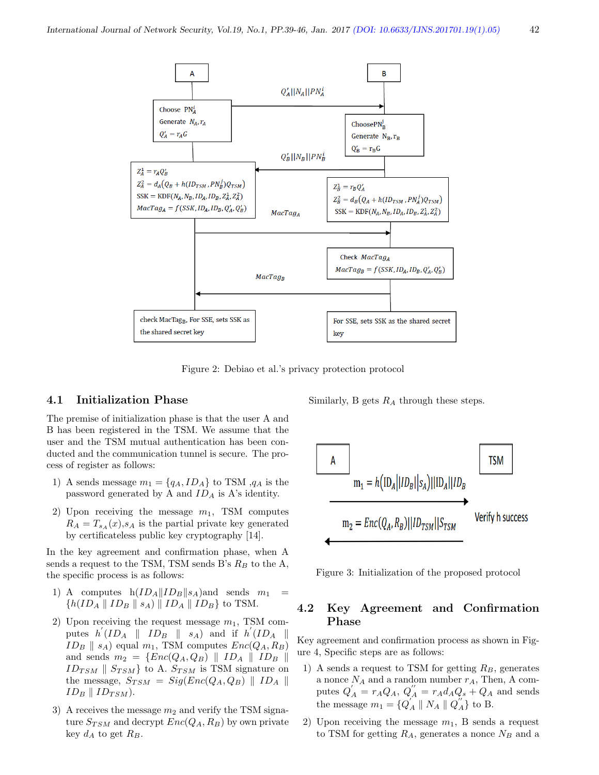

Figure 2: Debiao et al.'s privacy protection protocol

#### 4.1 Initialization Phase

The premise of initialization phase is that the user A and B has been registered in the TSM. We assume that the user and the TSM mutual authentication has been conducted and the communication tunnel is secure. The process of register as follows:

- 1) A sends message  $m_1 = \{q_A, ID_A\}$  to TSM  $,q_A$  is the password generated by A and  $ID_A$  is A's identity.
- 2) Upon receiving the message  $m_1$ , TSM computes  $R_A = T_{s_A}(x),$  is the partial private key generated by certificateless public key cryptography [14].

In the key agreement and confirmation phase, when A sends a request to the TSM, TSM sends B's  $R_B$  to the A, the specific process is as follows:

- 1) A computes  $h(ID_A||ID_B||s_A)$  and sends  $m_1$  ${h(ID_A \parallel ID_B \parallel s_A) \parallel ID_A \parallel ID_B}$  to TSM.
- 2) Upon receiving the request message  $m_1$ , TSM computes  $h'(ID_A \parallel ID_B \parallel s_A)$  and if  $h'(ID_A \parallel$  $ID_B \parallel s_A$ ) equal  $m_1$ , TSM computes  $Enc(Q_A, R_B)$ and sends  $m_2 = \{Enc(Q_A, Q_B) \parallel ID_A \parallel ID_B \parallel$  $ID_{TSM}$  |  $S_{TSM}$ } to A.  $S_{TSM}$  is TSM signature on the message,  $S_{TSM} = Sig(Enc(Q_A, Q_B) || ID_A ||$  $ID_B \parallel ID_{TSM}$ ).
- 3) A receives the message  $m_2$  and verify the TSM signature  $S_{TSM}$  and decrypt  $Enc(Q_A, R_B)$  by own private key  $d_A$  to get  $R_B$ .

Similarly, B gets  $R_A$  through these steps.



Figure 3: Initialization of the proposed protocol

## 4.2 Key Agreement and Confirmation Phase

Key agreement and confirmation process as shown in Figure 4, Specific steps are as follows:

- 1) A sends a request to TSM for getting  $R_B$ , generates a nonce  $N_A$  and a random number  $r_A$ , Then, A computes  $Q'_{A} = r_{A}Q_{A}, Q''_{A} = r_{A}d_{A}Q_{s} + Q_{A}$  and sends the message  $m_1 = \{Q_A^{\prime\prime} \parallel N_A \parallel Q_A^{\prime\prime}\}\)$  to B.
- 2) Upon receiving the message  $m_1$ , B sends a request to TSM for getting  $R_A$ , generates a nonce  $N_B$  and a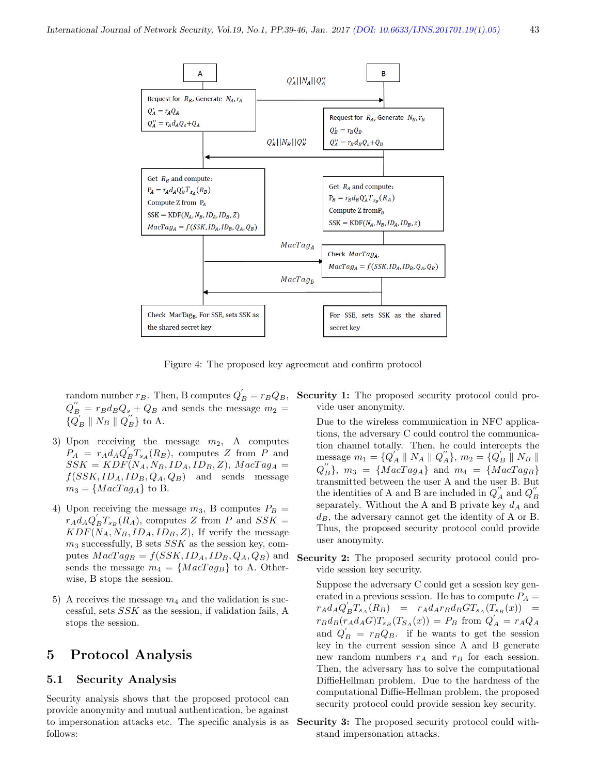

Figure 4: The proposed key agreement and confirm protocol

random number  $r_B$ . Then, B computes  $Q'_B = r_B Q_B$ ,  $Q_B'' = r_B d_B Q_s + Q_B$  and sends the message  $m_2 =$  $\{\overline{Q}_B' \parallel N_B \parallel Q_B''\}$  to A.

- 3) Upon receiving the message  $m_2$ , A computes  $P_A = r_A d_A Q'_B T_{s_A}(R_B)$ , computes Z from P and  $SSK = KDF(N_A, N_B, ID_A, ID_B, Z), \text{MacTag}_A =$  $f(SSK, ID<sub>A</sub>, ID<sub>B</sub>, Q<sub>A</sub>, Q<sub>B</sub>)$  and sends message  $m_3 = \{MacTag_A\}$  to B.
- 4) Upon receiving the message  $m_3$ , B computes  $P_B =$  $r_A d_A Q'_B T_{s_B}(R_A)$ , computes Z from P and  $SSK =$  $KDF(N_A, N_B, ID_A, ID_B, Z)$ , If verify the message  $m_3$  successfully, B sets  $SSK$  as the session key, computes  $MacTag_B = f(SSK, ID_A, ID_B, Q_A, Q_B)$  and sends the message  $m_4 = \{MacTag_B\}$  to A. Otherwise, B stops the session.
- 5) A receives the message  $m_4$  and the validation is successful, sets SSK as the session, if validation fails, A stops the session.

## 5 Protocol Analysis

#### 5.1 Security Analysis

Security analysis shows that the proposed protocol can provide anonymity and mutual authentication, be against to impersonation attacks etc. The specific analysis is as follows:

Security 1: The proposed security protocol could provide user anonymity.

Due to the wireless communication in NFC applications, the adversary C could control the communication channel totally. Then, he could intercepts the message  $m_1 = \{Q_A^{''} \parallel N_A \parallel Q_A^{''}\}, m_2 = \{Q_B^{'} \parallel N_B \parallel$  $Q_{B}^{''}\}, m_3 = \{MacTag_A\}$  and  $m_4 = \{MacTag_B\}$ transmitted between the user A and the user B. But the identities of A and B are included in  $Q_{A}^{''}$  and  $Q_{B}^{''}$ separately. Without the A and B private key  $d_A$  and  $d_B$ , the adversary cannot get the identity of A or B. Thus, the proposed security protocol could provide user anonymity.

Security 2: The proposed security protocol could provide session key security.

Suppose the adversary C could get a session key generated in a previous session. He has to compute  $P_A =$  $r_A d_A Q_B^{'} T_{s_A} (R_B) = r_A d_A r_B d_B G T_{s_A} (\stackrel{\frown}{T_{s_B}} (x))$  $r_B d_B(r_A d_A G) T_{s_B}(T_{S_A}(x)) = P_B$  from  $Q'_A = r_A Q_A$ and  $Q'_B = r_B Q_B$ . if he wants to get the session key in the current session since A and B generate new random numbers  $r_A$  and  $r_B$  for each session. Then, the adversary has to solve the computational DiffieHellman problem. Due to the hardness of the computational Diffie-Hellman problem, the proposed security protocol could provide session key security.

Security 3: The proposed security protocol could withstand impersonation attacks.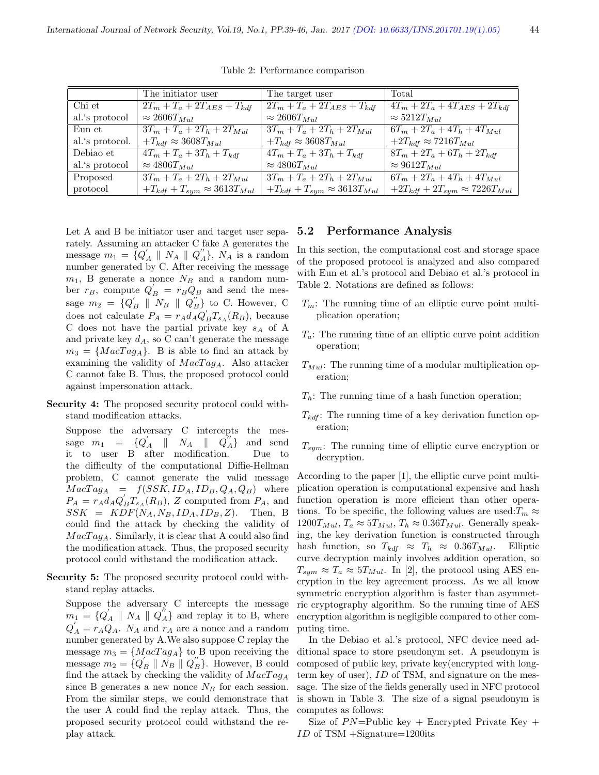|                 | The initiator user                        | The target user                           | Total                                      |
|-----------------|-------------------------------------------|-------------------------------------------|--------------------------------------------|
| Chi et          | $2T_m + T_a + 2T_{AES} + T_{kdf}$         | $2T_m + T_a + 2T_{AES} + T_{kdf}$         | $4T_m + 2T_a + 4T_{AES} + 2T_{kdf}$        |
| al.'s protocol  | $\approx 2606 T_{Mul}$                    | $\approx 2606 T_{Mul}$                    | $\approx 5212T_{Mul}$                      |
| Eun et          | $3T_m + T_a + 2T_h + 2T_{Mul}$            | $3T_m + T_a + 2T_h + 2T_{Mul}$            | $6T_m + 2T_a + 4T_h + 4T_{Mul}$            |
| al.'s protocol. | $+T_{kdf} \approx 3608 T_{Mul}$           | $+T_{kdf} \approx 3608 T_{Mul}$           | $+2T_{kdf} \approx 7216T_{Mul}$            |
| Debiao et       | $4T_m + T_a + 3T_h + T_{kdf}$             | $4T_m + T_a + 3T_h + T_{kdf}$             | $8T_m + 2T_a + 6T_h + 2T_{kdf}$            |
| al.'s protocol  | $\approx 4806 T_{Mul}$                    | $\approx 4806 T_{Mul}$                    | $\approx 9612 T_{Mul}$                     |
| Proposed        | $3T_m + T_a + 2T_h + 2T_{Mul}$            | $3T_m + T_a + 2T_h + 2T_{Mul}$            | $6T_m + 2T_a + 4T_h + 4T_{Mul}$            |
| protocol        | $+T_{kdf} + T_{sym} \approx 3613 T_{Mul}$ | $+T_{kdf} + T_{sym} \approx 3613 T_{Mul}$ | $+2T_{kdf} + 2T_{sym} \approx 7226T_{Mul}$ |

Table 2: Performance comparison

Let A and B be initiator user and target user separately. Assuming an attacker C fake A generates the message  $m_1 = \{Q'_A \parallel N_A \parallel Q''_A\}$ ,  $N_A$  is a random number generated by C. After receiving the message  $m_1$ , B generate a nonce  $N_B$  and a random number  $r_B$ , compute  $Q'_B = r_B Q_B$  and send the message  $m_2 = \{Q'_B \parallel N_B \parallel Q''_B\}$  to C. However, C does not calculate  $P_A = r_A d_A Q'_B T_{s_A}(R_B)$ , because C does not have the partial private key  $s_A$  of A and private key  $d_A$ , so C can't generate the message  $m_3 = \{MacTag_A\}.$  B is able to find an attack by examining the validity of  $MacTag_A$ . Also attacker C cannot fake B. Thus, the proposed protocol could against impersonation attack.

Security 4: The proposed security protocol could withstand modification attacks.

Suppose the adversary C intercepts the message  $m_1 = \{Q_A' \parallel N_A \parallel Q_A''$ and send it to user B after modification. Due to the difficulty of the computational Diffie-Hellman problem, C cannot generate the valid message  $MacTag<sub>A</sub> = f(SSK, ID<sub>A</sub>, ID<sub>B</sub>, Q<sub>A</sub>, Q<sub>B</sub>)$  where  $P_A = r_A d_A Q'_B T_{s_A}(R_B)$ , Z computed from  $P_A$ , and  $SSK = KDF(N_A, N_B, ID_A, ID_B, Z)$ . Then, B could find the attack by checking the validity of  $MacTag_A$ . Similarly, it is clear that A could also find the modification attack. Thus, the proposed security protocol could withstand the modification attack.

Security 5: The proposed security protocol could withstand replay attacks.

Suppose the adversary C intercepts the message  $m_1 = \{Q'_A \parallel N_A \parallel Q''_A\}$  and replay it to B, where  $Q'_{A} = r_{A}Q_{A}$ .  $N_{A}$  and  $r_{A}$  are a nonce and a random number generated by A.We also suppose C replay the message  $m_3 = \{MacTag_A\}$  to B upon receiving the message  $m_2 = \{Q'_B \parallel N_B \parallel Q''_B\}$ . However, B could find the attack by checking the validity of  $MacTag_A$ since B generates a new nonce  $N_B$  for each session. From the similar steps, we could demonstrate that the user A could find the replay attack. Thus, the proposed security protocol could withstand the replay attack.

#### 5.2 Performance Analysis

In this section, the computational cost and storage space of the proposed protocol is analyzed and also compared with Eun et al.'s protocol and Debiao et al.'s protocol in Table 2. Notations are defined as follows:

- $T_m$ : The running time of an elliptic curve point multiplication operation;
- $T_a$ : The running time of an elliptic curve point addition operation;
- $T_{Mul}$ : The running time of a modular multiplication operation;
- $T_h$ : The running time of a hash function operation;
- $T_{kdf}$ : The running time of a key derivation function operation;
- $T_{sum}$ : The running time of elliptic curve encryption or decryption.

According to the paper [1], the elliptic curve point multiplication operation is computational expensive and hash function operation is more efficient than other operations. To be specific, the following values are used: $T_m \approx$  $1200T_{Mul}$ ,  $T_a \approx 5T_{Mul}$ ,  $T_h \approx 0.36T_{Mul}$ . Generally speaking, the key derivation function is constructed through hash function, so  $T_{kdf} \approx T_h \approx 0.36T_{Mul}$ . Elliptic curve decryption mainly involves addition operation, so  $T_{sym} \approx T_a \approx 5T_{Mul}$ . In [2], the protocol using AES encryption in the key agreement process. As we all know symmetric encryption algorithm is faster than asymmetric cryptography algorithm. So the running time of AES encryption algorithm is negligible compared to other computing time.

In the Debiao et al.'s protocol, NFC device need additional space to store pseudonym set. A pseudonym is composed of public key, private key(encrypted with longterm key of user), ID of TSM, and signature on the message. The size of the fields generally used in NFC protocol is shown in Table 3. The size of a signal pseudonym is computes as follows:

Size of  $PN =$ Public key + Encrypted Private Key + ID of TSM +Signature=1200its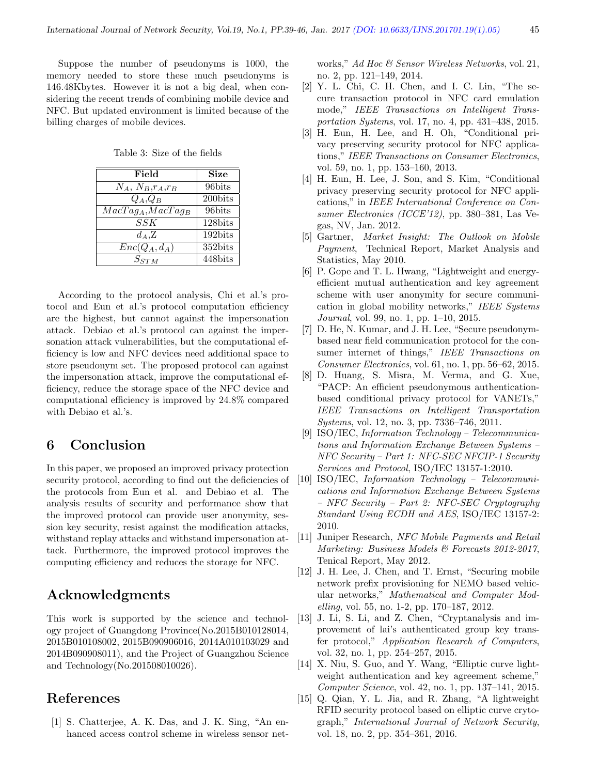Suppose the number of pseudonyms is 1000, the memory needed to store these much pseudonyms is 146.48Kbytes. However it is not a big deal, when considering the recent trends of combining mobile device and NFC. But updated environment is limited because of the billing charges of mobile devices.

Table 3: Size of the fields

| Field                      | <b>Size</b> |
|----------------------------|-------------|
| $N_A, N_B, r_A, r_B$       | 96bits      |
| $Q_A, Q_B$                 | 200bits     |
| $MacTagA, MacTagB$         | 96bits      |
| SSK                        | $128$ bits  |
| $d_A, Z$                   | $192$ bits  |
| $\overline{Enc}(Q_A, d_A)$ | 352bits     |
| $S_{STM}$                  | 448bits     |

According to the protocol analysis, Chi et al.'s protocol and Eun et al.'s protocol computation efficiency are the highest, but cannot against the impersonation attack. Debiao et al.'s protocol can against the impersonation attack vulnerabilities, but the computational efficiency is low and NFC devices need additional space to store pseudonym set. The proposed protocol can against the impersonation attack, improve the computational efficiency, reduce the storage space of the NFC device and computational efficiency is improved by 24.8% compared with Debiao et al.'s.

# 6 Conclusion

In this paper, we proposed an improved privacy protection security protocol, according to find out the deficiencies of the protocols from Eun et al. and Debiao et al. The analysis results of security and performance show that the improved protocol can provide user anonymity, session key security, resist against the modification attacks, withstand replay attacks and withstand impersonation attack. Furthermore, the improved protocol improves the computing efficiency and reduces the storage for NFC.

## Acknowledgments

This work is supported by the science and technology project of Guangdong Province(No.2015B010128014, 2015B010108002, 2015B090906016, 2014A010103029 and 2014B090908011), and the Project of Guangzhou Science and Technology(No.201508010026).

# References

[1] S. Chatterjee, A. K. Das, and J. K. Sing, "An enhanced access control scheme in wireless sensor networks," Ad Hoc & Sensor Wireless Networks, vol. 21, no. 2, pp. 121–149, 2014.

- [2] Y. L. Chi, C. H. Chen, and I. C. Lin, "The secure transaction protocol in NFC card emulation mode," IEEE Transactions on Intelligent Transportation Systems, vol. 17, no. 4, pp. 431–438, 2015.
- [3] H. Eun, H. Lee, and H. Oh, "Conditional privacy preserving security protocol for NFC applications," IEEE Transactions on Consumer Electronics, vol. 59, no. 1, pp. 153–160, 2013.
- [4] H. Eun, H. Lee, J. Son, and S. Kim, "Conditional privacy preserving security protocol for NFC applications," in IEEE International Conference on Consumer Electronics (ICCE'12), pp. 380–381, Las Vegas, NV, Jan. 2012.
- [5] Gartner, Market Insight: The Outlook on Mobile Payment, Technical Report, Market Analysis and Statistics, May 2010.
- [6] P. Gope and T. L. Hwang, "Lightweight and energyefficient mutual authentication and key agreement scheme with user anonymity for secure communication in global mobility networks," IEEE Systems Journal, vol. 99, no. 1, pp. 1–10, 2015.
- [7] D. He, N. Kumar, and J. H. Lee, "Secure pseudonymbased near field communication protocol for the consumer internet of things," IEEE Transactions on Consumer Electronics, vol. 61, no. 1, pp. 56–62, 2015.
- [8] D. Huang, S. Misra, M. Verma, and G. Xue, "PACP: An efficient pseudonymous authenticationbased conditional privacy protocol for VANETs," IEEE Transactions on Intelligent Transportation Systems, vol. 12, no. 3, pp. 7336–746, 2011.
- [9] ISO/IEC, Information Technology Telecommunications and Information Exchange Between Systems – NFC Security – Part 1: NFC-SEC NFCIP-1 Security Services and Protocol, ISO/IEC 13157-1:2010.
- [10] ISO/IEC, Information Technology Telecommunications and Information Exchange Between Systems – NFC Security – Part 2: NFC-SEC Cryptography Standard Using ECDH and AES, ISO/IEC 13157-2: 2010.
- [11] Juniper Research, NFC Mobile Payments and Retail Marketing: Business Models & Forecasts 2012-2017, Tenical Report, May 2012.
- [12] J. H. Lee, J. Chen, and T. Ernst, "Securing mobile network prefix provisioning for NEMO based vehicular networks," Mathematical and Computer Modelling, vol. 55, no. 1-2, pp. 170–187, 2012.
- [13] J. Li, S. Li, and Z. Chen, "Cryptanalysis and improvement of lai's authenticated group key transfer protocol," Application Research of Computers, vol. 32, no. 1, pp. 254–257, 2015.
- [14] X. Niu, S. Guo, and Y. Wang, "Elliptic curve lightweight authentication and key agreement scheme," Computer Science, vol. 42, no. 1, pp. 137–141, 2015.
- [15] Q. Qian, Y. L. Jia, and R. Zhang, "A lightweight RFID security protocol based on elliptic curve crytograph," International Journal of Network Security, vol. 18, no. 2, pp. 354–361, 2016.